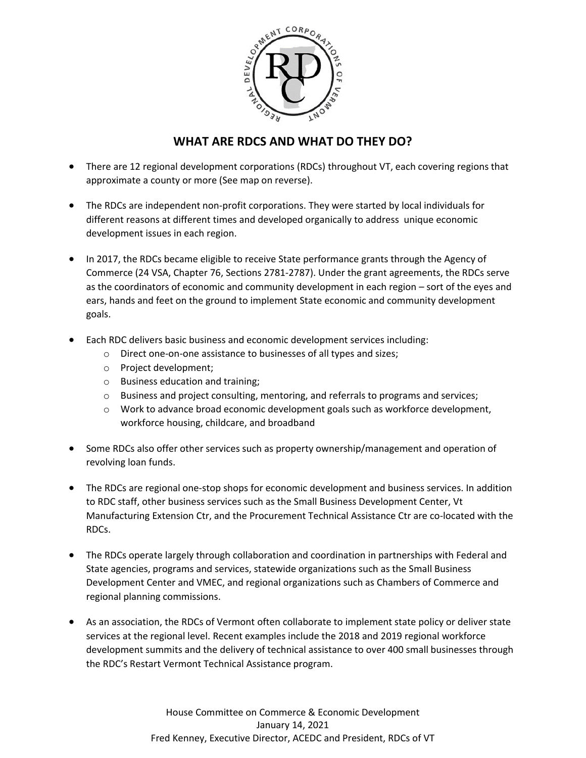

#### **WHAT ARE RDCS AND WHAT DO THEY DO?**

- There are 12 regional development corporations (RDCs) throughout VT, each covering regions that approximate a county or more (See map on reverse).
- The RDCs are independent non-profit corporations. They were started by local individuals for different reasons at different times and developed organically to address unique economic development issues in each region.
- In 2017, the RDCs became eligible to receive State performance grants through the Agency of Commerce (24 VSA, Chapter 76, Sections 2781-2787). Under the grant agreements, the RDCs serve as the coordinators of economic and community development in each region – sort of the eyes and ears, hands and feet on the ground to implement State economic and community development goals.
- Each RDC delivers basic business and economic development services including:
	- o Direct one-on-one assistance to businesses of all types and sizes;
	- o Project development;
	- o Business education and training;
	- $\circ$  Business and project consulting, mentoring, and referrals to programs and services;
	- o Work to advance broad economic development goals such as workforce development, workforce housing, childcare, and broadband
- Some RDCs also offer other services such as property ownership/management and operation of revolving loan funds.
- The RDCs are regional one-stop shops for economic development and business services. In addition to RDC staff, other business services such as the Small Business Development Center, Vt Manufacturing Extension Ctr, and the Procurement Technical Assistance Ctr are co-located with the RDCs.
- The RDCs operate largely through collaboration and coordination in partnerships with Federal and State agencies, programs and services, statewide organizations such as the Small Business Development Center and VMEC, and regional organizations such as Chambers of Commerce and regional planning commissions.
- As an association, the RDCs of Vermont often collaborate to implement state policy or deliver state services at the regional level. Recent examples include the 2018 and 2019 regional workforce development summits and the delivery of technical assistance to over 400 small businesses through the RDC's Restart Vermont Technical Assistance program.